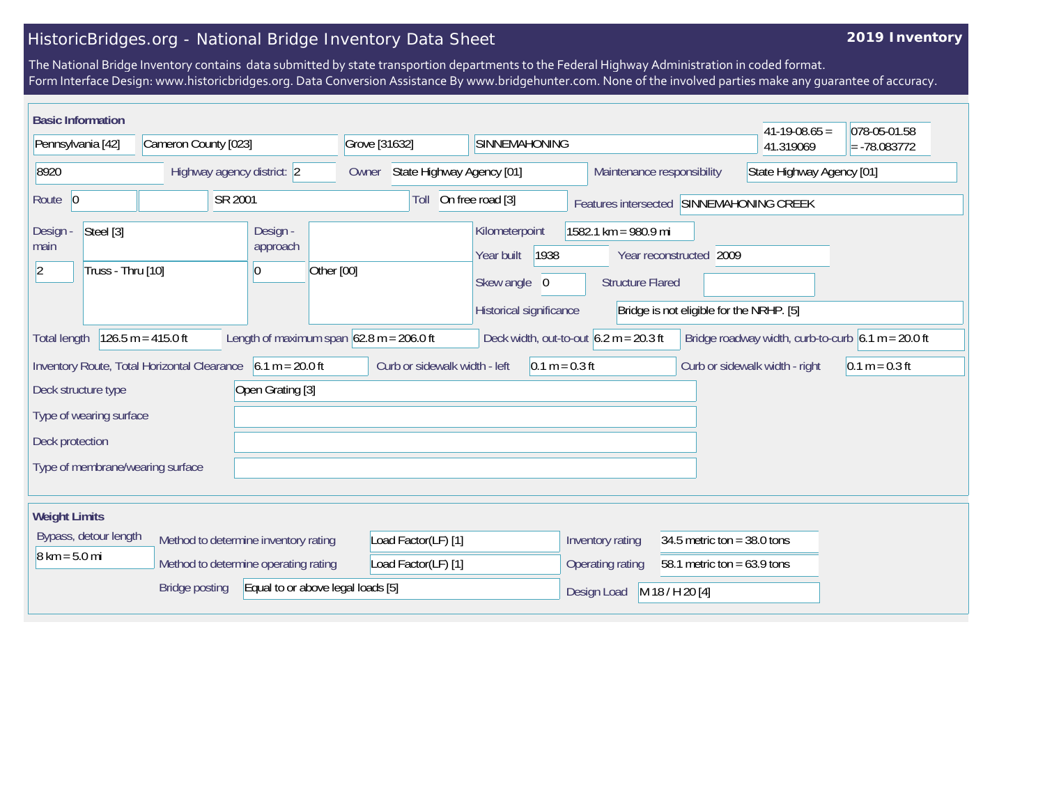## HistoricBridges.org - National Bridge Inventory Data Sheet

## **2019 Inventory**

The National Bridge Inventory contains data submitted by state transportion departments to the Federal Highway Administration in coded format. Form Interface Design: www.historicbridges.org. Data Conversion Assistance By www.bridgehunter.com. None of the involved parties make any guarantee of accuracy.

| <b>Basic Information</b>                                                                                                                                                                      |                                        |                                   |                               |                                                                                 |                                                                   |                                                                     | $41-19-08.65 =$                | 078-05-01.58     |
|-----------------------------------------------------------------------------------------------------------------------------------------------------------------------------------------------|----------------------------------------|-----------------------------------|-------------------------------|---------------------------------------------------------------------------------|-------------------------------------------------------------------|---------------------------------------------------------------------|--------------------------------|------------------|
| Pennsylvania [42]                                                                                                                                                                             | Cameron County [023]                   | Grove [31632]                     |                               | <b>SINNEMAHONING</b>                                                            |                                                                   |                                                                     | 41.319069                      | $= -78.083772$   |
| 8920                                                                                                                                                                                          | Highway agency district: 2             | Owner                             | State Highway Agency [01]     |                                                                                 |                                                                   | Maintenance responsibility                                          | State Highway Agency [01]      |                  |
| Route $ 0$                                                                                                                                                                                    | SR 2001                                |                                   | Toll                          | On free road [3]                                                                | Features intersected                                              |                                                                     | SINNEMAHONING CREEK            |                  |
| Steel [3]<br>Design -<br>main<br>Truss - Thru [10]<br> 2                                                                                                                                      | Design -<br>approach<br>$\overline{0}$ | Other [00]                        |                               | Kilometerpoint<br>1938<br>Year built<br>Skew angle 0<br>Historical significance | $1582.1 \text{ km} = 980.9 \text{ mi}$<br><b>Structure Flared</b> | Year reconstructed 2009<br>Bridge is not eligible for the NRHP. [5] |                                |                  |
| $126.5 m = 415.0 ft$<br>Length of maximum span $62.8$ m = 206.0 ft<br>Deck width, out-to-out $6.2 m = 20.3 ft$<br>Bridge roadway width, curb-to-curb $6.1 m = 20.0 ft$<br><b>Total length</b> |                                        |                                   |                               |                                                                                 |                                                                   |                                                                     |                                |                  |
| Inventory Route, Total Horizontal Clearance                                                                                                                                                   | $6.1 m = 20.0 ft$                      |                                   | Curb or sidewalk width - left | $0.1 m = 0.3 ft$                                                                |                                                                   |                                                                     | Curb or sidewalk width - right | $0.1 m = 0.3 ft$ |
| Deck structure type                                                                                                                                                                           | Open Grating [3]                       |                                   |                               |                                                                                 |                                                                   |                                                                     |                                |                  |
| Type of wearing surface                                                                                                                                                                       |                                        |                                   |                               |                                                                                 |                                                                   |                                                                     |                                |                  |
| Deck protection                                                                                                                                                                               |                                        |                                   |                               |                                                                                 |                                                                   |                                                                     |                                |                  |
| Type of membrane/wearing surface                                                                                                                                                              |                                        |                                   |                               |                                                                                 |                                                                   |                                                                     |                                |                  |
| <b>Weight Limits</b>                                                                                                                                                                          |                                        |                                   |                               |                                                                                 |                                                                   |                                                                     |                                |                  |
| Bypass, detour length                                                                                                                                                                         | Method to determine inventory rating   |                                   | Load Factor(LF) [1]           |                                                                                 | Inventory rating                                                  | 34.5 metric ton = $38.0$ tons                                       |                                |                  |
| $8 \text{ km} = 5.0 \text{ mi}$                                                                                                                                                               | Method to determine operating rating   |                                   | Load Factor(LF) [1]           |                                                                                 | Operating rating                                                  | 58.1 metric ton = $63.9$ tons                                       |                                |                  |
|                                                                                                                                                                                               | <b>Bridge posting</b>                  | Equal to or above legal loads [5] |                               |                                                                                 | Design Load                                                       | M 18 / H 20 [4]                                                     |                                |                  |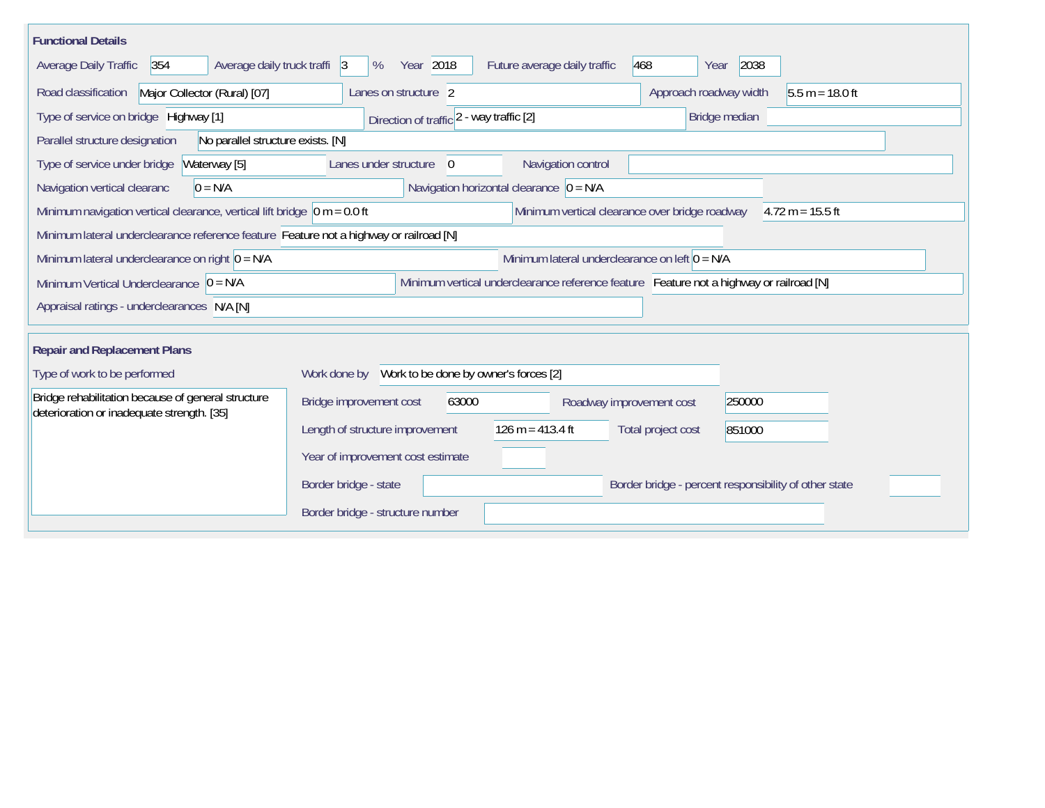| <b>Functional Details</b>                                                              |                                                    |                                                                                         |                                                       |                    |
|----------------------------------------------------------------------------------------|----------------------------------------------------|-----------------------------------------------------------------------------------------|-------------------------------------------------------|--------------------|
| Average daily truck traffi 3<br><b>Average Daily Traffic</b><br>354                    | Year 2018<br>%                                     | Future average daily traffic                                                            | 468<br>2038<br>Year                                   |                    |
| Major Collector (Rural) [07]<br>Road classification                                    | Lanes on structure 2                               |                                                                                         | Approach roadway width                                | $5.5 m = 18.0 ft$  |
| Type of service on bridge Highway [1]                                                  | Direction of traffic 2 - way traffic [2]           |                                                                                         | Bridge median                                         |                    |
| No parallel structure exists. [N]<br>Parallel structure designation                    |                                                    |                                                                                         |                                                       |                    |
| Type of service under bridge<br>Waterway [5]                                           | Lanes under structure<br>$\Omega$                  | Navigation control                                                                      |                                                       |                    |
| $0 = N/A$<br>Navigation vertical clearanc                                              |                                                    | Navigation horizontal clearance $\vert 0 = N/A \vert$                                   |                                                       |                    |
| Minimum navigation vertical clearance, vertical lift bridge $\vert$ 0 m = 0.0 ft       |                                                    | Minimum vertical clearance over bridge roadway                                          |                                                       | $4.72 m = 15.5 ft$ |
| Minimum lateral underclearance reference feature Feature not a highway or railroad [N] |                                                    |                                                                                         |                                                       |                    |
| Minimum lateral underclearance on right $0 = N/A$                                      |                                                    | Minimum lateral underclearance on left $0 = N/A$                                        |                                                       |                    |
| Minimum Vertical Underclearance $ 0 = N/A$                                             |                                                    | Minimum vertical underclearance reference feature Feature not a highway or railroad [N] |                                                       |                    |
| Appraisal ratings - underclearances N/A [N]                                            |                                                    |                                                                                         |                                                       |                    |
| <b>Repair and Replacement Plans</b>                                                    |                                                    |                                                                                         |                                                       |                    |
| Type of work to be performed                                                           | Work done by Work to be done by owner's forces [2] |                                                                                         |                                                       |                    |
| Bridge rehabilitation because of general structure                                     |                                                    |                                                                                         |                                                       |                    |
| deterioration or inadequate strength. [35]                                             | Bridge improvement cost<br>63000                   | Roadway improvement cost                                                                | 250000                                                |                    |
|                                                                                        | Length of structure improvement                    | $126 m = 413.4 ft$                                                                      | Total project cost<br>851000                          |                    |
|                                                                                        | Year of improvement cost estimate                  |                                                                                         |                                                       |                    |
|                                                                                        | Border bridge - state                              |                                                                                         | Border bridge - percent responsibility of other state |                    |
|                                                                                        | Border bridge - structure number                   |                                                                                         |                                                       |                    |